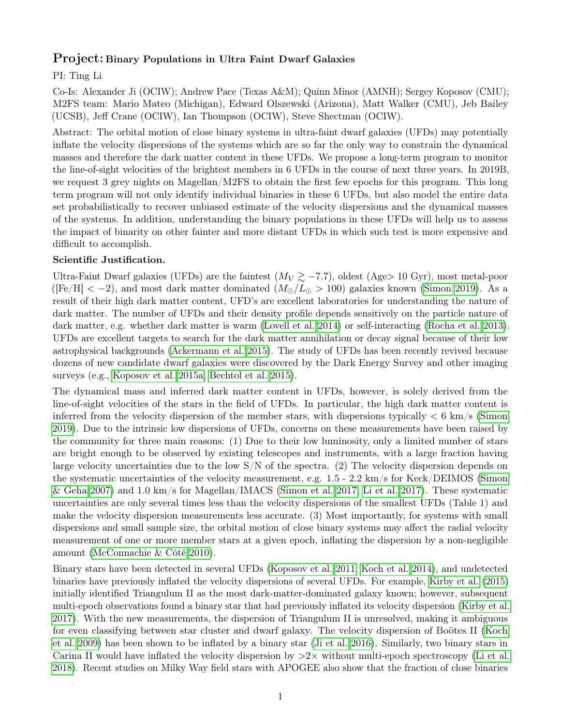## Project: Binary Populations in Ultra Faint Dwarf Galaxies

## PI: Ting Li

Co-Is: Alexander Ji (OCIW); Andrew Pace (Texas A&M); Quinn Minor (AMNH); Sergey Koposov (CMU); M2FS team: Mario Mateo (Michigan), Edward Olszewski (Arizona), Matt Walker (CMU), Jeb Bailey (UCSB), Jeff Crane (OCIW), Ian Thompson (OCIW), Steve Shectman (OCIW).

Abstract: The orbital motion of close binary systems in ultra-faint dwarf galaxies (UFDs) may potentially inflate the velocity dispersions of the systems which are so far the only way to constrain the dynamical masses and therefore the dark matter content in these UFDs. We propose a long-term program to monitor the line-of-sight velocities of the brightest members in 6 UFDs in the course of next three years. In 2019B, we request 3 grey nights on Magellan/M2FS to obtain the first few epochs for this program. This long term program will not only identify individual binaries in these 6 UFDs, but also model the entire data set probabilistically to recover unbiased estimate of the velocity dispersions and the dynamical masses of the systems. In addition, understanding the binary populations in these UFDs will help us to assess the impact of binarity on other fainter and more distant UFDs in which such test is more expensive and difficult to accomplish.

## Scientific Justification.

Ultra-Faint Dwarf galaxies (UFDs) are the faintest  $(M_V \gtrsim -7.7)$ , oldest (Age> 10 Gyr), most metal-poor ([Fe/H]  $<-2$ ), and most dark matter dominated  $(M<sub>o</sub>/L<sub>o</sub> > 100)$  galaxies known [\(Simon 2019\)](#page-4-0). As a result of their high dark matter content, UFD's are excellent laboratories for understanding the nature of dark matter. The number of UFDs and their density profile depends sensitively on the particle nature of dark matter, e.g. whether dark matter is warm [\(Lovell et al. 2014\)](#page-4-1) or self-interacting [\(Rocha et al. 2013\)](#page-4-2). UFDs are excellent targets to search for the dark matter annihilation or decay signal because of their low astrophysical backgrounds [\(Ackermann et al. 2015\)](#page-3-0). The study of UFDs has been recently revived because dozens of new candidate dwarf galaxies were discovered by the Dark Energy Survey and other imaging surveys (e.g., [Koposov et al. 2015a;](#page-3-1) [Bechtol et al. 2015\)](#page-3-2).

The dynamical mass and inferred dark matter content in UFDs, however, is solely derived from the line-of-sight velocities of the stars in the field of UFDs. In particular, the high dark matter content is inferred from the velocity dispersion of the member stars, with dispersions typically  $< 6 \text{ km/s}$  [\(Simon](#page-4-0) [2019\)](#page-4-0). Due to the intrinsic low dispersions of UFDs, concerns on these measurements have been raised by the community for three main reasons: (1) Due to their low luminosity, only a limited number of stars are bright enough to be observed by existing telescopes and instruments, with a large fraction having large velocity uncertainties due to the low  $S/N$  of the spectra. (2) The velocity dispersion depends on the systematic uncertainties of the velocity measurement, e.g. 1.5 - 2.2 km/s for Keck/DEIMOS [\(Simon](#page-4-3) [& Geha 2007\)](#page-4-3) and 1.0 km/s for Magellan/IMACS [\(Simon et al. 2017;](#page-4-4) [Li et al. 2017\)](#page-4-5). These systematic uncertainties are only several times less than the velocity dispersions of the smallest UFDs (Table 1) and make the velocity dispersion measurements less accurate. (3) Most importantly, for systems with small dispersions and small sample size, the orbital motion of close binary systems may affect the radial velocity measurement of one or more member stars at a given epoch, inflating the dispersion by a non-negligible amount [\(McConnachie & Côté 2010\)](#page-4-6).

Binary stars have been detected in several UFDs [\(Koposov et al. 2011;](#page-3-3) [Koch et al. 2014\)](#page-3-4), and undetected binaries have previously inflated the velocity dispersions of several UFDs. For example, [Kirby et al.](#page-3-5) [\(2015\)](#page-3-5) initially identified Triangulum II as the most dark-matter-dominated galaxy known; however, subsequent multi-epoch observations found a binary star that had previously inflated its velocity dispersion [\(Kirby et al.](#page-3-6) [2017\)](#page-3-6). With the new measurements, the dispersion of Triangulum II is unresolved, making it ambiguous for even classifying between star cluster and dwarf galaxy. The velocity dispersion of Boötes II [\(Koch](#page-3-7) [et al. 2009\)](#page-3-7) has been shown to be inflated by a binary star [\(Ji et al. 2016\)](#page-3-8). Similarly, two binary stars in Carina II would have inflated the velocity dispersion by  $>2\times$  without multi-epoch spectroscopy [\(Li et al.](#page-4-7) [2018\)](#page-4-7). Recent studies on Milky Way field stars with APOGEE also show that the fraction of close binaries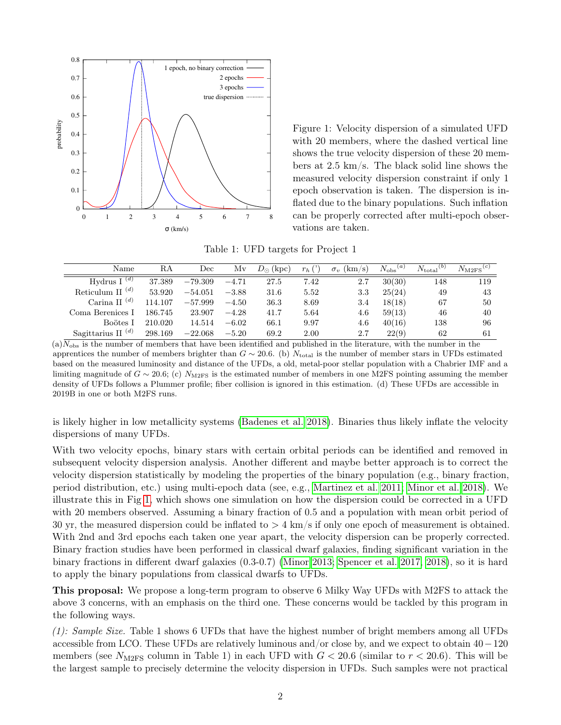

<span id="page-1-0"></span>Figure 1: Velocity dispersion of a simulated UFD with 20 members, where the dashed vertical line shows the true velocity dispersion of these 20 members at 2.5 km/s. The black solid line shows the measured velocity dispersion constraint if only 1 epoch observation is taken. The dispersion is inflated due to the binary populations. Such inflation can be properly corrected after multi-epoch observations are taken.

Table 1: UFD targets for Project 1

| Name                                       | RA      | Dec       | Mv      | $D_{\odot}$ (kpc) | $r_h$ | (km/s)<br>$\sigma_v$ | $N_{\rm obs}{}^{(a)}$ | $N_{\rm total}{}^{(b)}$ | $N_{\rm M2FS}{}^{(c)}$ |
|--------------------------------------------|---------|-----------|---------|-------------------|-------|----------------------|-----------------------|-------------------------|------------------------|
| Hydrus I $(d)$                             | 37.389  | $-79.309$ | $-4.71$ | 27.5              | 7.42  | 2.7                  | 30(30)                | 148                     | 119                    |
| Reticulum II <sup><math>(d)</math></sup>   | 53.920  | $-54.051$ | $-3.88$ | 31.6              | 5.52  | 3.3                  | 25(24)                | 49                      | 43                     |
| Carina II <sup><math>(d)</math></sup>      | 114.107 | $-57.999$ | $-4.50$ | 36.3              | 8.69  | 3.4                  | 18(18)                | 67                      | 50                     |
| Coma Berenices I                           | 186.745 | 23.907    | $-4.28$ | 41.7              | 5.64  | 4.6                  | 59(13)                | 46                      | 40                     |
| Boötes I                                   | 210.020 | 14.514    | $-6.02$ | 66.1              | 9.97  | 4.6                  | 40(16)                | 138                     | 96                     |
| Sagittarius II <sup><math>(d)</math></sup> | 298.169 | $-22.068$ | $-5.20$ | 69.2              | 2.00  | 2.7                  | 22(9)                 | 62                      | 61                     |

(a) $\overline{N_{\text{obs}}}$  is the number of members that have been identified and published in the literature, with the number in the apprentices the number of members brighter than  $G \sim 20.6$ . (b)  $N_{\text{total}}$  is the number of member stars in UFDs estimated based on the measured luminosity and distance of the UFDs, a old, metal-poor stellar population with a Chabrier IMF and a limiting magnitude of  $G \sim 20.6$ ; (c)  $N_{\text{M2FS}}$  is the estimated number of members in one M2FS pointing assuming the member density of UFDs follows a Plummer profile; fiber collision is ignored in this estimation. (d) These UFDs are accessible in 2019B in one or both M2FS runs.

is likely higher in low metallicity systems [\(Badenes et al. 2018\)](#page-3-9). Binaries thus likely inflate the velocity dispersions of many UFDs.

With two velocity epochs, binary stars with certain orbital periods can be identified and removed in subsequent velocity dispersion analysis. Another different and maybe better approach is to correct the velocity dispersion statistically by modeling the properties of the binary population (e.g., binary fraction, period distribution, etc.) using multi-epoch data (see, e.g., [Martinez et al. 2011;](#page-4-8) [Minor et al. 2018\)](#page-4-9). We illustrate this in Fig [1,](#page-1-0) which shows one simulation on how the dispersion could be corrected in a UFD with 20 members observed. Assuming a binary fraction of 0.5 and a population with mean orbit period of 30 yr, the measured dispersion could be inflated to  $> 4 \text{ km/s}$  if only one epoch of measurement is obtained. With 2nd and 3rd epochs each taken one year apart, the velocity dispersion can be properly corrected. Binary fraction studies have been performed in classical dwarf galaxies, finding significant variation in the binary fractions in different dwarf galaxies (0.3-0.7) [\(Minor 2013;](#page-4-10) [Spencer et al. 2017,](#page-4-11) [2018\)](#page-4-12), so it is hard to apply the binary populations from classical dwarfs to UFDs.

This proposal: We propose a long-term program to observe 6 Milky Way UFDs with M2FS to attack the above 3 concerns, with an emphasis on the third one. These concerns would be tackled by this program in the following ways.

 $(1)$ : Sample Size. Table 1 shows 6 UFDs that have the highest number of bright members among all UFDs accessible from LCO. These UFDs are relatively luminous and/or close by, and we expect to obtain 40−120 members (see  $N_{\text{M2FS}}$  column in Table 1) in each UFD with  $G < 20.6$  (similar to  $r < 20.6$ ). This will be the largest sample to precisely determine the velocity dispersion in UFDs. Such samples were not practical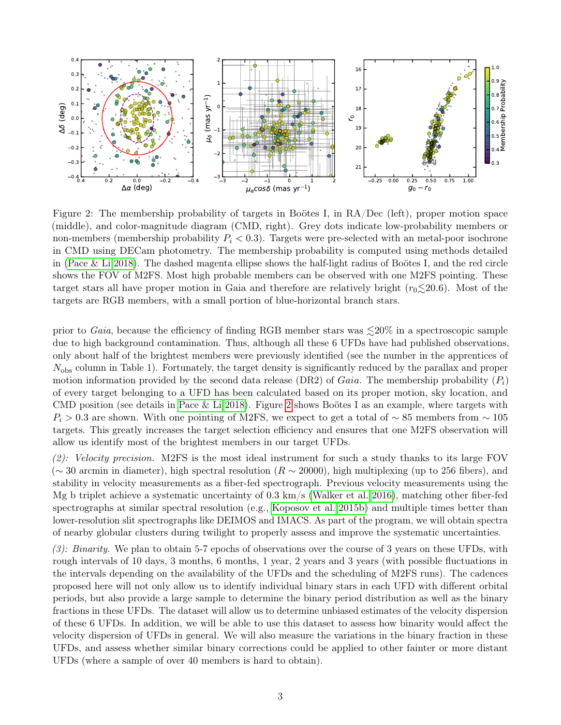

<span id="page-2-0"></span>Figure 2: The membership probability of targets in Boötes I, in RA/Dec (left), proper motion space (middle), and color-magnitude diagram (CMD, right). Grey dots indicate low-probability members or non-members (membership probability  $P_i < 0.3$ ). Targets were pre-selected with an metal-poor isochrone in CMD using DECam photometry. The membership probability is computed using methods detailed in [\(Pace & Li 2018\)](#page-4-13). The dashed magenta ellipse shows the half-light radius of Boötes I, and the red circle shows the FOV of M2FS. Most high probable members can be observed with one M2FS pointing. These target stars all have proper motion in Gaia and therefore are relatively bright  $(r_0 \leq 20.6)$ . Most of the targets are RGB members, with a small portion of blue-horizontal branch stars.

prior to Gaia, because the efficiency of finding RGB member stars was  $\leq 20\%$  in a spectroscopic sample due to high background contamination. Thus, although all these 6 UFDs have had published observations, only about half of the brightest members were previously identified (see the number in the apprentices of  $N_{\rm obs}$  column in Table 1). Fortunately, the target density is significantly reduced by the parallax and proper motion information provided by the second data release (DR2) of *Gaia*. The membership probability  $(P_i)$ of every target belonging to a UFD has been calculated based on its proper motion, sky location, and CMD position (see details in [Pace & Li 2018\)](#page-4-13). Figure [2](#page-2-0) shows Boötes I as an example, where targets with  $P_i > 0.3$  are shown. With one pointing of M2FS, we expect to get a total of ~85 members from ~ 105 targets. This greatly increases the target selection efficiency and ensures that one M2FS observation will allow us identify most of the brightest members in our target UFDs.

 $(2)$ : Velocity precision. M2FS is the most ideal instrument for such a study thanks to its large FOV ( $\sim$  30 arcmin in diameter), high spectral resolution ( $R \sim 20000$ ), high multiplexing (up to 256 fibers), and stability in velocity measurements as a fiber-fed spectrograph. Previous velocity measurements using the Mg b triplet achieve a systematic uncertainty of 0.3 km/s [\(Walker et al. 2016\)](#page-4-14), matching other fiber-fed spectrographs at similar spectral resolution (e.g., [Koposov et al. 2015b\)](#page-4-15) and multiple times better than lower-resolution slit spectrographs like DEIMOS and IMACS. As part of the program, we will obtain spectra of nearby globular clusters during twilight to properly assess and improve the systematic uncertainties.

 $(3)$ : Binarity. We plan to obtain 5-7 epochs of observations over the course of 3 years on these UFDs, with rough intervals of 10 days, 3 months, 6 months, 1 year, 2 years and 3 years (with possible fluctuations in the intervals depending on the availability of the UFDs and the scheduling of M2FS runs). The cadences proposed here will not only allow us to identify individual binary stars in each UFD with different orbital periods, but also provide a large sample to determine the binary period distribution as well as the binary fractions in these UFDs. The dataset will allow us to determine unbiased estimates of the velocity dispersion of these 6 UFDs. In addition, we will be able to use this dataset to assess how binarity would affect the velocity dispersion of UFDs in general. We will also measure the variations in the binary fraction in these UFDs, and assess whether similar binary corrections could be applied to other fainter or more distant UFDs (where a sample of over 40 members is hard to obtain).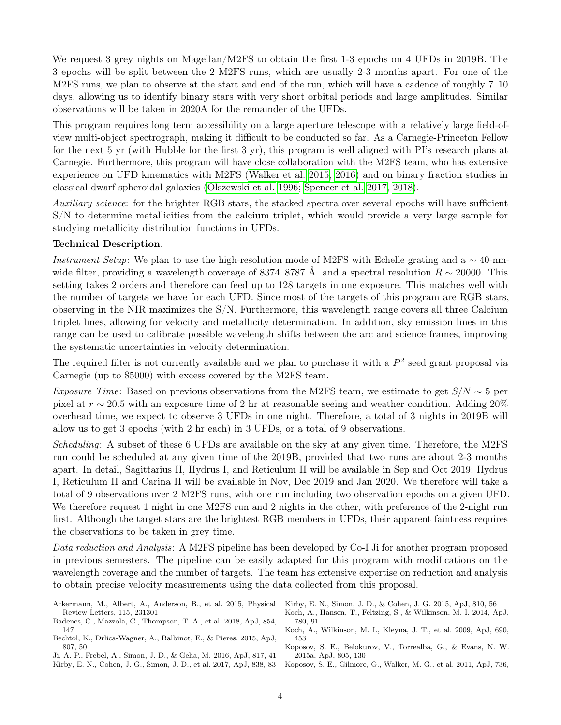We request 3 grey nights on Magellan/M2FS to obtain the first 1-3 epochs on 4 UFDs in 2019B. The 3 epochs will be split between the 2 M2FS runs, which are usually 2-3 months apart. For one of the M2FS runs, we plan to observe at the start and end of the run, which will have a cadence of roughly  $7-10$ days, allowing us to identify binary stars with very short orbital periods and large amplitudes. Similar observations will be taken in 2020A for the remainder of the UFDs.

This program requires long term accessibility on a large aperture telescope with a relatively large field-ofview multi-object spectrograph, making it difficult to be conducted so far. As a Carnegie-Princeton Fellow for the next 5 yr (with Hubble for the first 3 yr), this program is well aligned with PI's research plans at Carnegie. Furthermore, this program will have close collaboration with the M2FS team, who has extensive experience on UFD kinematics with M2FS [\(Walker et al. 2015,](#page-4-16) [2016\)](#page-4-14) and on binary fraction studies in classical dwarf spheroidal galaxies [\(Olszewski et al. 1996;](#page-4-17) [Spencer et al. 2017,](#page-4-11) [2018\)](#page-4-12).

Auxiliary science: for the brighter RGB stars, the stacked spectra over several epochs will have sufficient S/N to determine metallicities from the calcium triplet, which would provide a very large sample for studying metallicity distribution functions in UFDs.

## Technical Description.

Instrument Setup: We plan to use the high-resolution mode of M2FS with Echelle grating and a  $\sim$  40-nmwide filter, providing a wavelength coverage of 8374–8787 Å and a spectral resolution  $R \sim 20000$ . This setting takes 2 orders and therefore can feed up to 128 targets in one exposure. This matches well with the number of targets we have for each UFD. Since most of the targets of this program are RGB stars, observing in the NIR maximizes the S/N. Furthermore, this wavelength range covers all three Calcium triplet lines, allowing for velocity and metallicity determination. In addition, sky emission lines in this range can be used to calibrate possible wavelength shifts between the arc and science frames, improving the systematic uncertainties in velocity determination.

The required filter is not currently available and we plan to purchase it with a  $P^2$  seed grant proposal via Carnegie (up to \$5000) with excess covered by the M2FS team.

Exposure Time: Based on previous observations from the M2FS team, we estimate to get  $S/N \sim 5$  per pixel at r ∼ 20.5 with an exposure time of 2 hr at reasonable seeing and weather condition. Adding 20% overhead time, we expect to observe 3 UFDs in one night. Therefore, a total of 3 nights in 2019B will allow us to get 3 epochs (with 2 hr each) in 3 UFDs, or a total of 9 observations.

Scheduling: A subset of these 6 UFDs are available on the sky at any given time. Therefore, the M2FS run could be scheduled at any given time of the 2019B, provided that two runs are about 2-3 months apart. In detail, Sagittarius II, Hydrus I, and Reticulum II will be available in Sep and Oct 2019; Hydrus I, Reticulum II and Carina II will be available in Nov, Dec 2019 and Jan 2020. We therefore will take a total of 9 observations over 2 M2FS runs, with one run including two observation epochs on a given UFD. We therefore request 1 night in one M2FS run and 2 nights in the other, with preference of the 2-night run first. Although the target stars are the brightest RGB members in UFDs, their apparent faintness requires the observations to be taken in grey time.

Data reduction and Analysis: A M2FS pipeline has been developed by Co-I Ji for another program proposed in previous semesters. The pipeline can be easily adapted for this program with modifications on the wavelength coverage and the number of targets. The team has extensive expertise on reduction and analysis to obtain precise velocity measurements using the data collected from this proposal.

- <span id="page-3-0"></span>Ackermann, M., Albert, A., Anderson, B., et al. 2015, Physical Review Letters, 115, 231301
- <span id="page-3-9"></span>Badenes, C., Mazzola, C., Thompson, T. A., et al. 2018, ApJ, 854, 147
- <span id="page-3-2"></span>Bechtol, K., Drlica-Wagner, A., Balbinot, E., & Pieres. 2015, ApJ, 807, 50

<span id="page-3-8"></span><span id="page-3-6"></span>Ji, A. P., Frebel, A., Simon, J. D., & Geha, M. 2016, ApJ, 817, 41 Kirby, E. N., Cohen, J. G., Simon, J. D., et al. 2017, ApJ, 838, 83

<span id="page-3-5"></span><span id="page-3-4"></span>Kirby, E. N., Simon, J. D., & Cohen, J. G. 2015, ApJ, 810, 56

- Koch, A., Hansen, T., Feltzing, S., & Wilkinson, M. I. 2014, ApJ, 780, 91
- <span id="page-3-7"></span>Koch, A., Wilkinson, M. I., Kleyna, J. T., et al. 2009, ApJ, 690, 453
- <span id="page-3-1"></span>Koposov, S. E., Belokurov, V., Torrealba, G., & Evans, N. W. 2015a, ApJ, 805, 130
- <span id="page-3-3"></span>Koposov, S. E., Gilmore, G., Walker, M. G., et al. 2011, ApJ, 736,